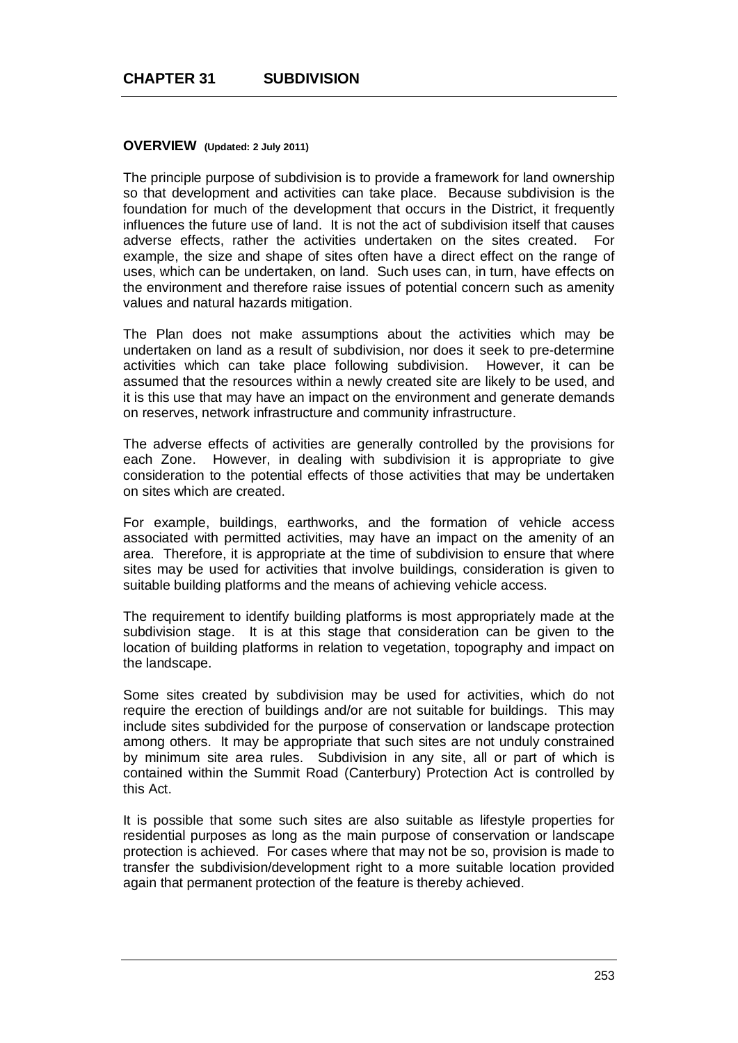#### **OVERVIEW (Updated: 2 July 2011)**

The principle purpose of subdivision is to provide a framework for land ownership so that development and activities can take place. Because subdivision is the foundation for much of the development that occurs in the District, it frequently influences the future use of land. It is not the act of subdivision itself that causes adverse effects, rather the activities undertaken on the sites created. example, the size and shape of sites often have a direct effect on the range of uses, which can be undertaken, on land. Such uses can, in turn, have effects on the environment and therefore raise issues of potential concern such as amenity values and natural hazards mitigation.

The Plan does not make assumptions about the activities which may be undertaken on land as a result of subdivision, nor does it seek to pre-determine activities which can take place following subdivision. However, it can be assumed that the resources within a newly created site are likely to be used, and it is this use that may have an impact on the environment and generate demands on reserves, network infrastructure and community infrastructure.

The adverse effects of activities are generally controlled by the provisions for each Zone. However, in dealing with subdivision it is appropriate to give consideration to the potential effects of those activities that may be undertaken on sites which are created.

For example, buildings, earthworks, and the formation of vehicle access associated with permitted activities, may have an impact on the amenity of an area. Therefore, it is appropriate at the time of subdivision to ensure that where sites may be used for activities that involve buildings, consideration is given to suitable building platforms and the means of achieving vehicle access.

The requirement to identify building platforms is most appropriately made at the subdivision stage. It is at this stage that consideration can be given to the location of building platforms in relation to vegetation, topography and impact on the landscape.

Some sites created by subdivision may be used for activities, which do not require the erection of buildings and/or are not suitable for buildings. This may include sites subdivided for the purpose of conservation or landscape protection among others. It may be appropriate that such sites are not unduly constrained by minimum site area rules. Subdivision in any site, all or part of which is contained within the Summit Road (Canterbury) Protection Act is controlled by this Act.

It is possible that some such sites are also suitable as lifestyle properties for residential purposes as long as the main purpose of conservation or landscape protection is achieved. For cases where that may not be so, provision is made to transfer the subdivision/development right to a more suitable location provided again that permanent protection of the feature is thereby achieved.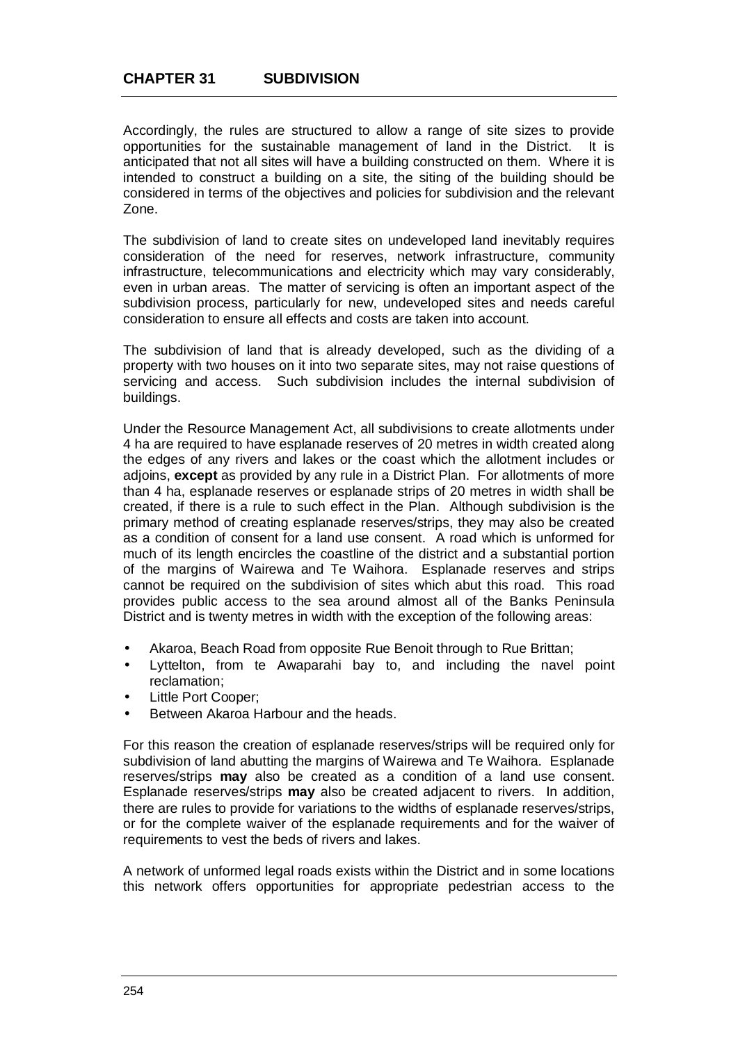Accordingly, the rules are structured to allow a range of site sizes to provide opportunities for the sustainable management of land in the District. It is anticipated that not all sites will have a building constructed on them. Where it is intended to construct a building on a site, the siting of the building should be considered in terms of the objectives and policies for subdivision and the relevant Zone.

The subdivision of land to create sites on undeveloped land inevitably requires consideration of the need for reserves, network infrastructure, community infrastructure, telecommunications and electricity which may vary considerably, even in urban areas. The matter of servicing is often an important aspect of the subdivision process, particularly for new, undeveloped sites and needs careful consideration to ensure all effects and costs are taken into account.

The subdivision of land that is already developed, such as the dividing of a property with two houses on it into two separate sites, may not raise questions of servicing and access. Such subdivision includes the internal subdivision of buildings.

Under the Resource Management Act, all subdivisions to create allotments under 4 ha are required to have esplanade reserves of 20 metres in width created along the edges of any rivers and lakes or the coast which the allotment includes or adjoins, **except** as provided by any rule in a District Plan. For allotments of more than 4 ha, esplanade reserves or esplanade strips of 20 metres in width shall be created, if there is a rule to such effect in the Plan. Although subdivision is the primary method of creating esplanade reserves/strips, they may also be created as a condition of consent for a land use consent. A road which is unformed for much of its length encircles the coastline of the district and a substantial portion of the margins of Wairewa and Te Waihora. Esplanade reserves and strips cannot be required on the subdivision of sites which abut this road. This road provides public access to the sea around almost all of the Banks Peninsula District and is twenty metres in width with the exception of the following areas:

- Akaroa, Beach Road from opposite Rue Benoit through to Rue Brittan; t.
- Lyttelton, from te Awaparahi bay to, and including the navel point reclamation;
- Little Port Cooper;
- Between Akaroa Harbour and the heads.

For this reason the creation of esplanade reserves/strips will be required only for subdivision of land abutting the margins of Wairewa and Te Waihora. Esplanade reserves/strips **may** also be created as a condition of a land use consent. Esplanade reserves/strips **may** also be created adjacent to rivers. In addition, there are rules to provide for variations to the widths of esplanade reserves/strips, or for the complete waiver of the esplanade requirements and for the waiver of requirements to vest the beds of rivers and lakes.

A network of unformed legal roads exists within the District and in some locations this network offers opportunities for appropriate pedestrian access to the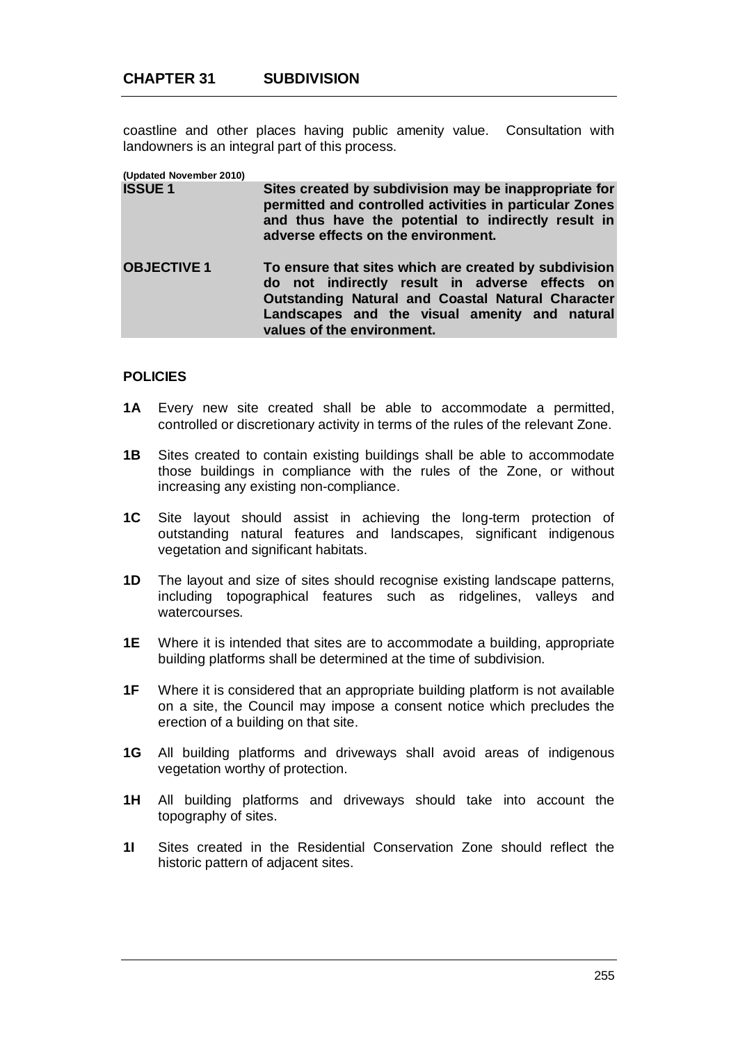coastline and other places having public amenity value. Consultation with landowners is an integral part of this process.

**(Updated November 2010)**

- **Sites created by subdivision may be inappropriate for permitted and controlled activities in particular Zones and thus have the potential to indirectly result in adverse effects on the environment.**
- **OBJECTIVE 1 To ensure that sites which are created by subdivision do not indirectly result in adverse effects on Outstanding Natural and Coastal Natural Character Landscapes and the visual amenity and natural values of the environment.**

## **POLICIES**

- **1A** Every new site created shall be able to accommodate a permitted, controlled or discretionary activity in terms of the rules of the relevant Zone.
- **1B** Sites created to contain existing buildings shall be able to accommodate those buildings in compliance with the rules of the Zone, or without increasing any existing non-compliance.
- **1C** Site layout should assist in achieving the long-term protection of outstanding natural features and landscapes, significant indigenous vegetation and significant habitats.
- **1D** The layout and size of sites should recognise existing landscape patterns, including topographical features such as ridgelines, valleys and watercourses.
- **1E** Where it is intended that sites are to accommodate a building, appropriate building platforms shall be determined at the time of subdivision.
- **1F** Where it is considered that an appropriate building platform is not available on a site, the Council may impose a consent notice which precludes the erection of a building on that site.
- **1G** All building platforms and driveways shall avoid areas of indigenous vegetation worthy of protection.
- **1H** All building platforms and driveways should take into account the topography of sites.
- **1I** Sites created in the Residential Conservation Zone should reflect the historic pattern of adjacent sites.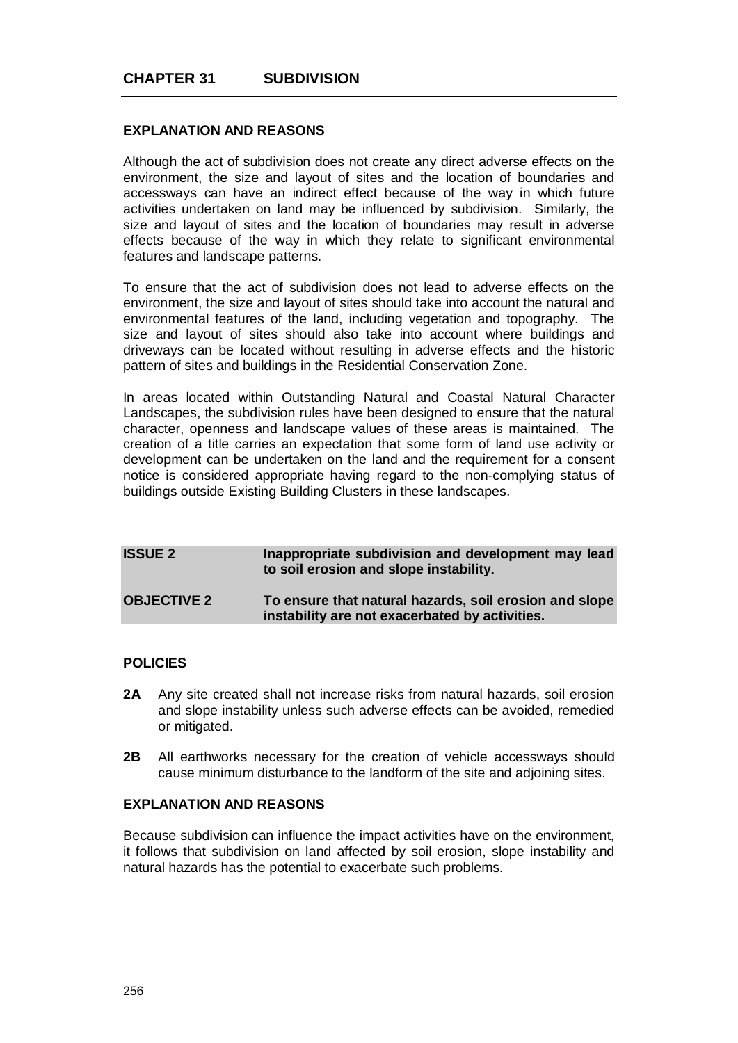## **EXPLANATION AND REASONS**

Although the act of subdivision does not create any direct adverse effects on the environment, the size and layout of sites and the location of boundaries and accessways can have an indirect effect because of the way in which future activities undertaken on land may be influenced by subdivision. Similarly, the size and layout of sites and the location of boundaries may result in adverse effects because of the way in which they relate to significant environmental features and landscape patterns.

To ensure that the act of subdivision does not lead to adverse effects on the environment, the size and layout of sites should take into account the natural and environmental features of the land, including vegetation and topography. The size and layout of sites should also take into account where buildings and driveways can be located without resulting in adverse effects and the historic pattern of sites and buildings in the Residential Conservation Zone.

In areas located within Outstanding Natural and Coastal Natural Character Landscapes, the subdivision rules have been designed to ensure that the natural character, openness and landscape values of these areas is maintained. The creation of a title carries an expectation that some form of land use activity or development can be undertaken on the land and the requirement for a consent notice is considered appropriate having regard to the non-complying status of buildings outside Existing Building Clusters in these landscapes.

| <b>ISSUE 2</b>     | Inappropriate subdivision and development may lead<br>to soil erosion and slope instability.             |
|--------------------|----------------------------------------------------------------------------------------------------------|
| <b>OBJECTIVE 2</b> | To ensure that natural hazards, soil erosion and slope<br>instability are not exacerbated by activities. |

## **POLICIES**

- **2A** Any site created shall not increase risks from natural hazards, soil erosion and slope instability unless such adverse effects can be avoided, remedied or mitigated.
- **2B** All earthworks necessary for the creation of vehicle accessways should cause minimum disturbance to the landform of the site and adjoining sites.

### **EXPLANATION AND REASONS**

Because subdivision can influence the impact activities have on the environment, it follows that subdivision on land affected by soil erosion, slope instability and natural hazards has the potential to exacerbate such problems.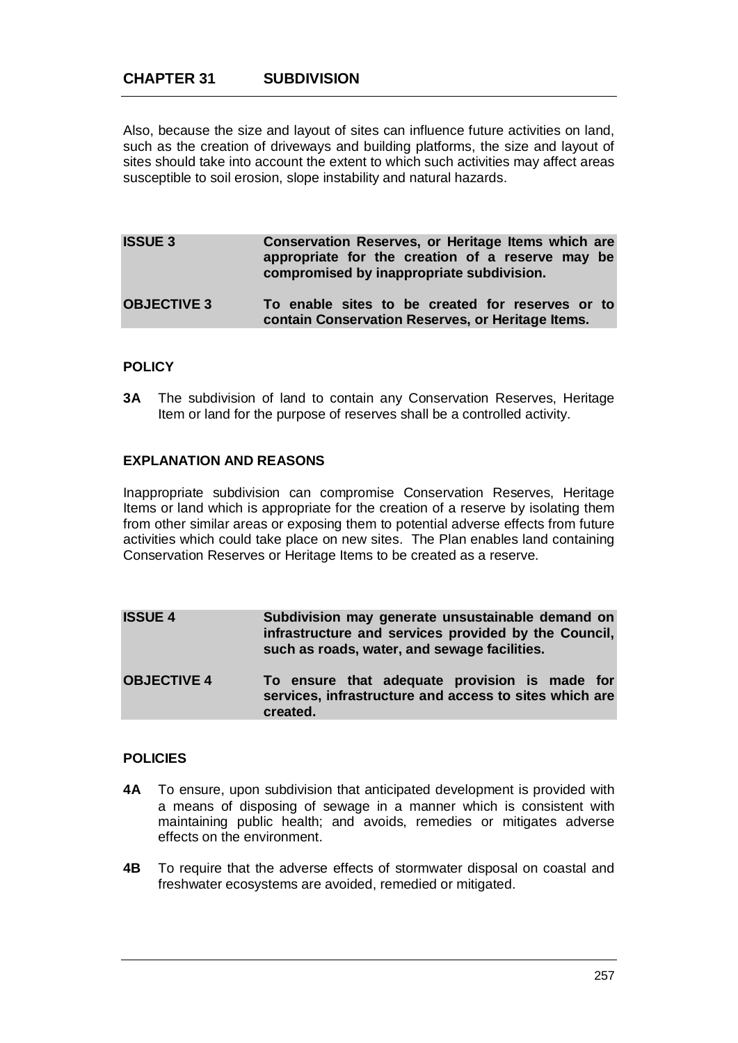Also, because the size and layout of sites can influence future activities on land, such as the creation of driveways and building platforms, the size and layout of sites should take into account the extent to which such activities may affect areas susceptible to soil erosion, slope instability and natural hazards.

| <b>ISSUE 3</b>     | Conservation Reserves, or Heritage Items which are<br>appropriate for the creation of a reserve may be<br>compromised by inappropriate subdivision. |
|--------------------|-----------------------------------------------------------------------------------------------------------------------------------------------------|
| <b>OBJECTIVE 3</b> | To enable sites to be created for reserves or to<br>contain Conservation Reserves, or Heritage Items.                                               |

## **POLICY**

**3A** The subdivision of land to contain any Conservation Reserves, Heritage Item or land for the purpose of reserves shall be a controlled activity.

## **EXPLANATION AND REASONS**

Inappropriate subdivision can compromise Conservation Reserves, Heritage Items or land which is appropriate for the creation of a reserve by isolating them from other similar areas or exposing them to potential adverse effects from future activities which could take place on new sites. The Plan enables land containing Conservation Reserves or Heritage Items to be created as a reserve.

| <b>ISSUE 4</b>     | Subdivision may generate unsustainable demand on<br>infrastructure and services provided by the Council,<br>such as roads, water, and sewage facilities. |  |  |  |
|--------------------|----------------------------------------------------------------------------------------------------------------------------------------------------------|--|--|--|
| <b>OBJECTIVE 4</b> | To ensure that adequate provision is made for<br>services, infrastructure and access to sites which are<br>created.                                      |  |  |  |

## **POLICIES**

- **4A** To ensure, upon subdivision that anticipated development is provided with a means of disposing of sewage in a manner which is consistent with maintaining public health; and avoids, remedies or mitigates adverse effects on the environment.
- **4B** To require that the adverse effects of stormwater disposal on coastal and freshwater ecosystems are avoided, remedied or mitigated.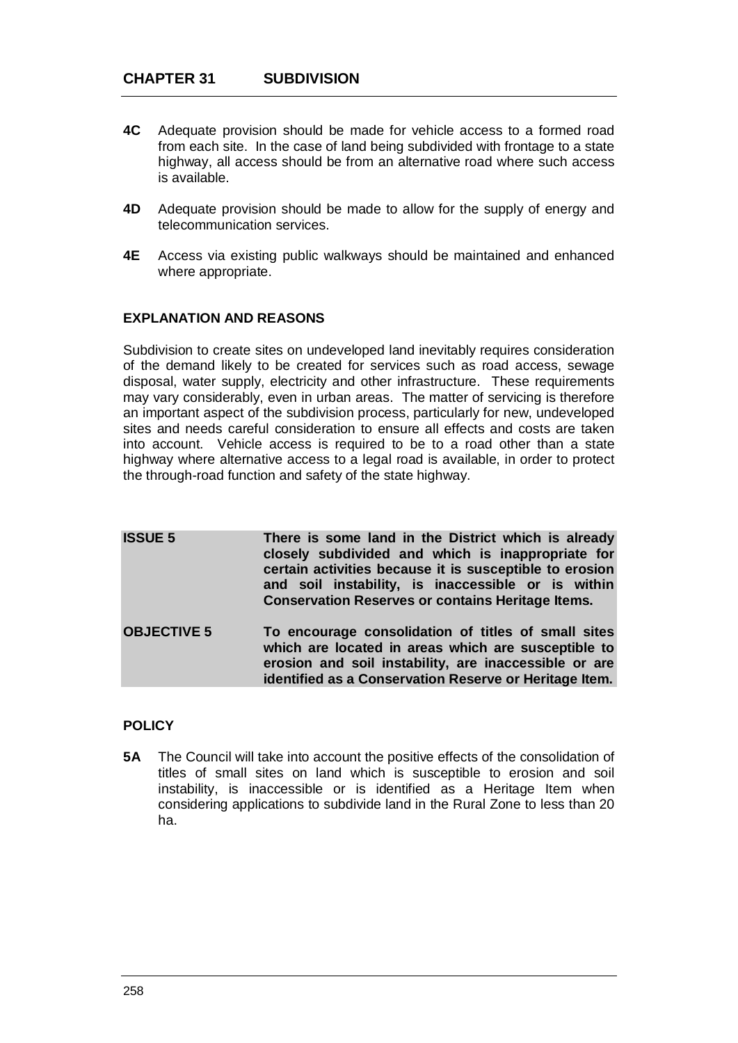- **4C** Adequate provision should be made for vehicle access to a formed road from each site. In the case of land being subdivided with frontage to a state highway, all access should be from an alternative road where such access is available.
- **4D** Adequate provision should be made to allow for the supply of energy and telecommunication services.
- **4E** Access via existing public walkways should be maintained and enhanced where appropriate.

# **EXPLANATION AND REASONS**

Subdivision to create sites on undeveloped land inevitably requires consideration of the demand likely to be created for services such as road access, sewage disposal, water supply, electricity and other infrastructure. These requirements may vary considerably, even in urban areas. The matter of servicing is therefore an important aspect of the subdivision process, particularly for new, undeveloped sites and needs careful consideration to ensure all effects and costs are taken into account. Vehicle access is required to be to a road other than a state highway where alternative access to a legal road is available, in order to protect the through-road function and safety of the state highway.

**ISSUE 5 There is some land in the District which is already closely subdivided and which is inappropriate for certain activities because it is susceptible to erosion and soil instability, is inaccessible or is within Conservation Reserves or contains Heritage Items. OBJECTIVE 5 To encourage consolidation of titles of small sites which are located in areas which are susceptible to erosion and soil instability, are inaccessible or are identified as a Conservation Reserve or Heritage Item.**

# **POLICY**

**5A** The Council will take into account the positive effects of the consolidation of titles of small sites on land which is susceptible to erosion and soil instability, is inaccessible or is identified as a Heritage Item when considering applications to subdivide land in the Rural Zone to less than 20 ha.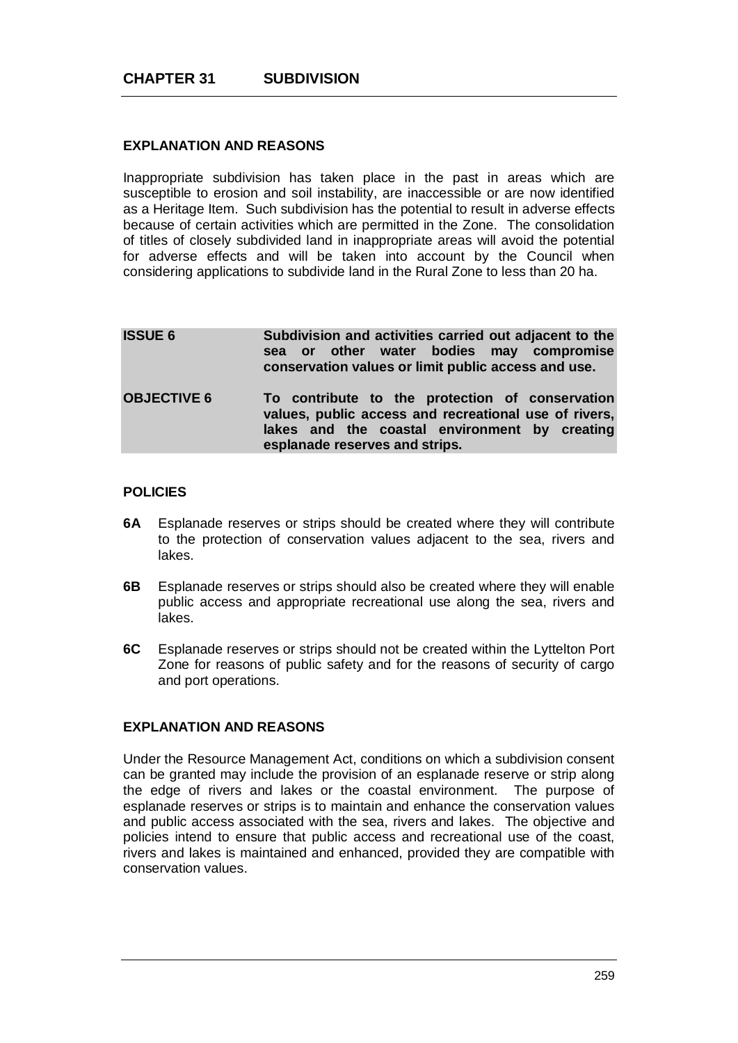## **EXPLANATION AND REASONS**

Inappropriate subdivision has taken place in the past in areas which are susceptible to erosion and soil instability, are inaccessible or are now identified as a Heritage Item. Such subdivision has the potential to result in adverse effects because of certain activities which are permitted in the Zone. The consolidation of titles of closely subdivided land in inappropriate areas will avoid the potential for adverse effects and will be taken into account by the Council when considering applications to subdivide land in the Rural Zone to less than 20 ha.

| <b>ISSUE 6</b>     | Subdivision and activities carried out adjacent to the<br>sea or other water bodies may compromise<br>conservation values or limit public access and use.                                   |
|--------------------|---------------------------------------------------------------------------------------------------------------------------------------------------------------------------------------------|
| <b>OBJECTIVE 6</b> | To contribute to the protection of conservation<br>values, public access and recreational use of rivers,<br>lakes and the coastal environment by creating<br>esplanade reserves and strips. |

## **POLICIES**

- **6A** Esplanade reserves or strips should be created where they will contribute to the protection of conservation values adjacent to the sea, rivers and lakes.
- **6B** Esplanade reserves or strips should also be created where they will enable public access and appropriate recreational use along the sea, rivers and lakes.
- **6C** Esplanade reserves or strips should not be created within the Lyttelton Port Zone for reasons of public safety and for the reasons of security of cargo and port operations.

# **EXPLANATION AND REASONS**

Under the Resource Management Act, conditions on which a subdivision consent can be granted may include the provision of an esplanade reserve or strip along the edge of rivers and lakes or the coastal environment. The purpose of esplanade reserves or strips is to maintain and enhance the conservation values and public access associated with the sea, rivers and lakes. The objective and policies intend to ensure that public access and recreational use of the coast, rivers and lakes is maintained and enhanced, provided they are compatible with conservation values.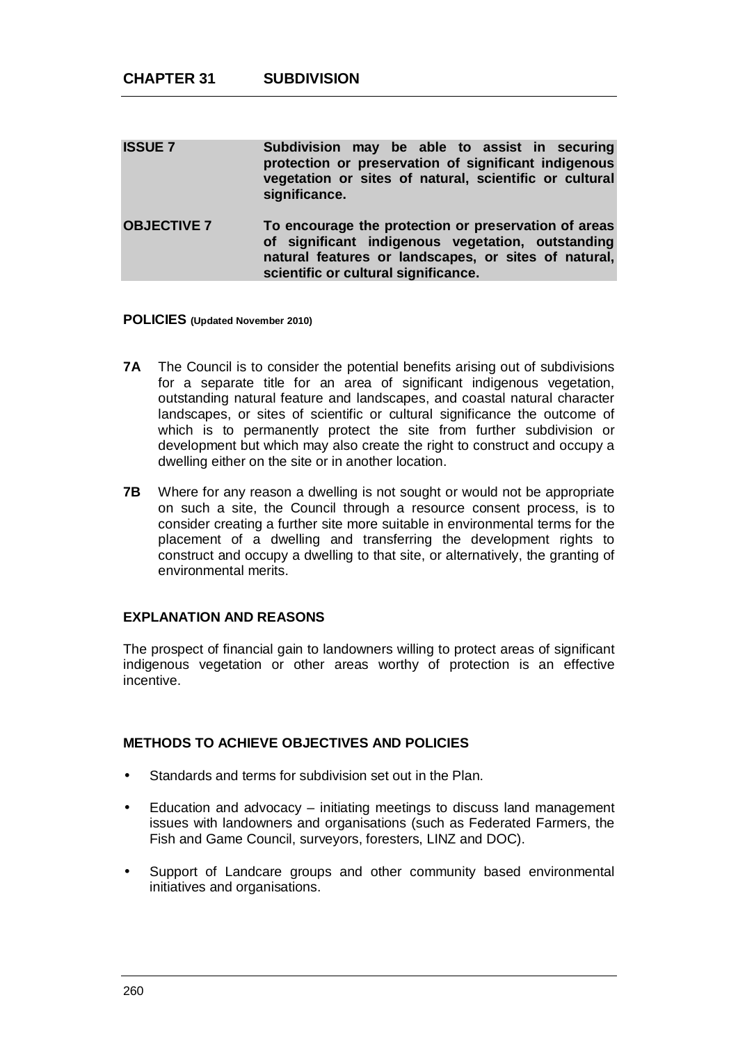| <b>ISSUE 7</b>     | Subdivision may be able to assist in securing<br>protection or preservation of significant indigenous<br>vegetation or sites of natural, scientific or cultural<br>significance.                          |
|--------------------|-----------------------------------------------------------------------------------------------------------------------------------------------------------------------------------------------------------|
| <b>OBJECTIVE 7</b> | To encourage the protection or preservation of areas<br>of significant indigenous vegetation, outstanding<br>natural features or landscapes, or sites of natural,<br>scientific or cultural significance. |

### **POLICIES (Updated November 2010)**

- **7A** The Council is to consider the potential benefits arising out of subdivisions for a separate title for an area of significant indigenous vegetation, outstanding natural feature and landscapes, and coastal natural character landscapes, or sites of scientific or cultural significance the outcome of which is to permanently protect the site from further subdivision or development but which may also create the right to construct and occupy a dwelling either on the site or in another location.
- **7B** Where for any reason a dwelling is not sought or would not be appropriate on such a site, the Council through a resource consent process, is to consider creating a further site more suitable in environmental terms for the placement of a dwelling and transferring the development rights to construct and occupy a dwelling to that site, or alternatively, the granting of environmental merits.

### **EXPLANATION AND REASONS**

The prospect of financial gain to landowners willing to protect areas of significant indigenous vegetation or other areas worthy of protection is an effective incentive.

### **METHODS TO ACHIEVE OBJECTIVES AND POLICIES**

- Standards and terms for subdivision set out in the Plan.
- Education and advocacy initiating meetings to discuss land management J. issues with landowners and organisations (such as Federated Farmers, the Fish and Game Council, surveyors, foresters, LINZ and DOC).
- Support of Landcare groups and other community based environmental initiatives and organisations.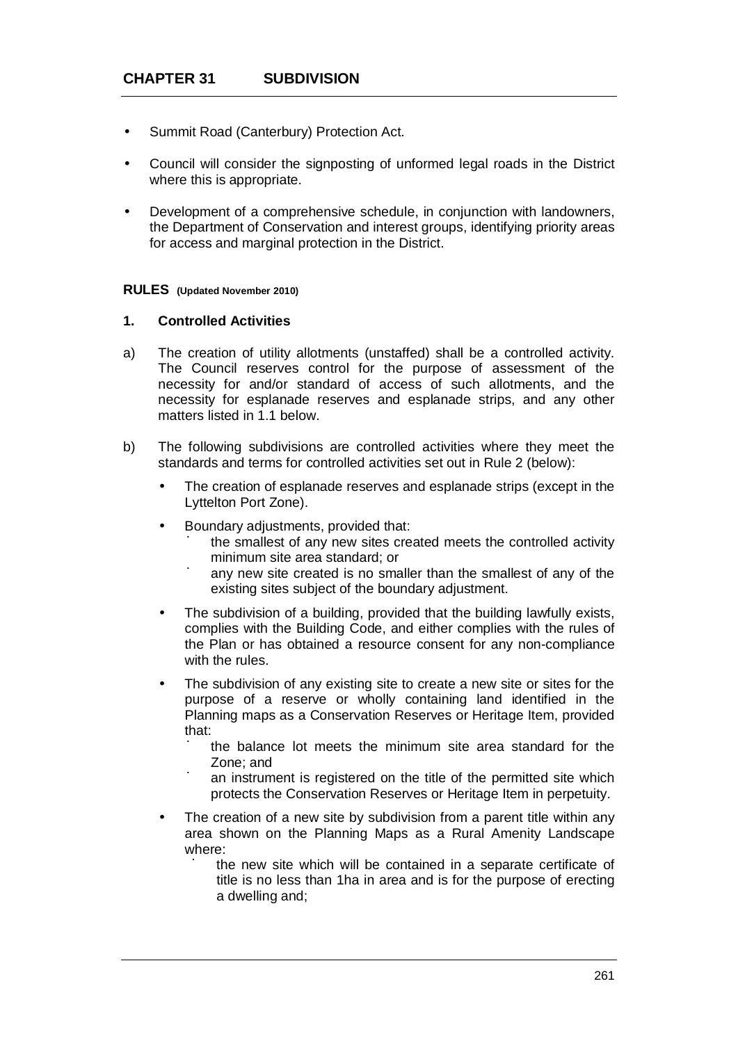- Summit Road (Canterbury) Protection Act.
- Council will consider the signposting of unformed legal roads in the District where this is appropriate.
- Development of a comprehensive schedule, in conjunction with landowners, the Department of Conservation and interest groups, identifying priority areas for access and marginal protection in the District.

#### **RULES (Updated November 2010)**

## **1. Controlled Activities**

- a) The creation of utility allotments (unstaffed) shall be a controlled activity. The Council reserves control for the purpose of assessment of the necessity for and/or standard of access of such allotments, and the necessity for esplanade reserves and esplanade strips, and any other matters listed in 1.1 below.
- b) The following subdivisions are controlled activities where they meet the standards and terms for controlled activities set out in Rule 2 (below):
	- The creation of esplanade reserves and esplanade strips (except in the Lyttelton Port Zone).
	- Boundary adjustments, provided that:
		- ú the smallest of any new sites created meets the controlled activity minimum site area standard; or
		- ú any new site created is no smaller than the smallest of any of the existing sites subject of the boundary adjustment.
	- The subdivision of a building, provided that the building lawfully exists, complies with the Building Code, and either complies with the rules of the Plan or has obtained a resource consent for any non-compliance with the rules.
	- The subdivision of any existing site to create a new site or sites for the purpose of a reserve or wholly containing land identified in the Planning maps as a Conservation Reserves or Heritage Item, provided that:
		- ú the balance lot meets the minimum site area standard for the Zone; and
		- ú an instrument is registered on the title of the permitted site which protects the Conservation Reserves or Heritage Item in perpetuity.
		- The creation of a new site by subdivision from a parent title within any area shown on the Planning Maps as a Rural Amenity Landscape where:
			- ú the new site which will be contained in a separate certificate of title is no less than 1ha in area and is for the purpose of erecting a dwelling and;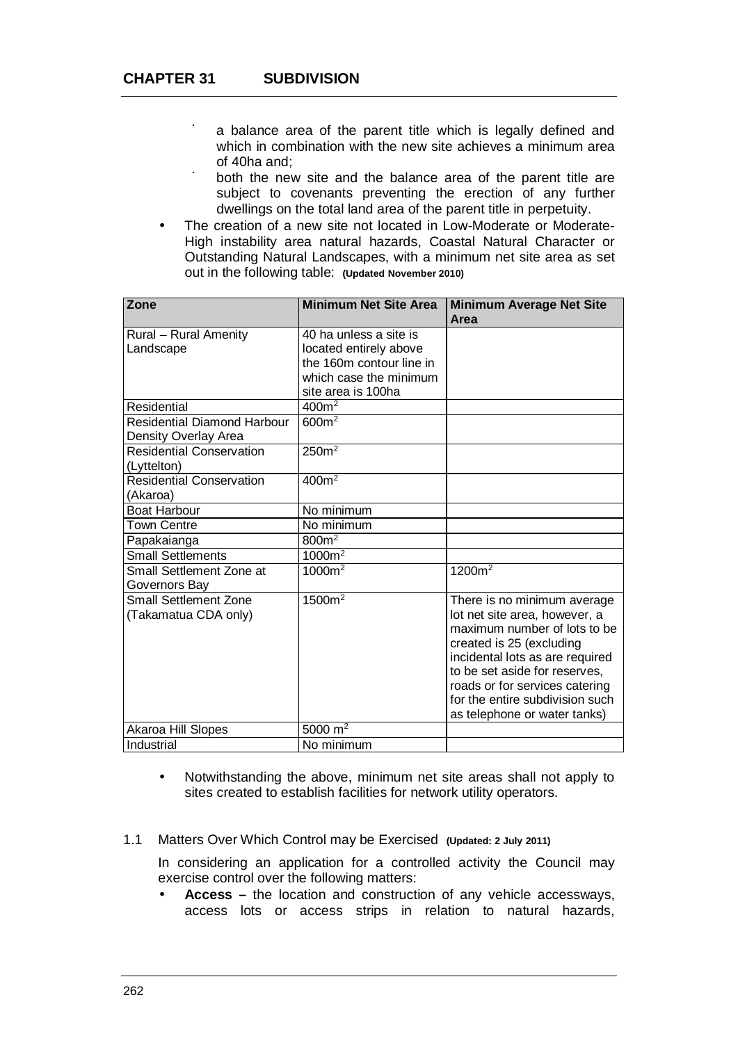- ú a balance area of the parent title which is legally defined and which in combination with the new site achieves a minimum area of 40ha and;
- ú both the new site and the balance area of the parent title are subject to covenants preventing the erection of any further dwellings on the total land area of the parent title in perpetuity.
- The creation of a new site not located in Low-Moderate or Moderate-High instability area natural hazards, Coastal Natural Character or Outstanding Natural Landscapes, with a minimum net site area as set out in the following table: **(Updated November 2010)**

| Zone                                                       | <b>Minimum Net Site Area</b> | <b>Minimum Average Net Site</b><br>Area |
|------------------------------------------------------------|------------------------------|-----------------------------------------|
| Rural - Rural Amenity                                      | 40 ha unless a site is       |                                         |
| Landscape                                                  | located entirely above       |                                         |
|                                                            | the 160m contour line in     |                                         |
|                                                            | which case the minimum       |                                         |
|                                                            | site area is 100ha           |                                         |
| Residential                                                | 400m <sup>2</sup>            |                                         |
| <b>Residential Diamond Harbour</b><br>Density Overlay Area | 600m <sup>2</sup>            |                                         |
| <b>Residential Conservation</b><br>(Lyttelton)             | 250 <sup>2</sup>             |                                         |
| <b>Residential Conservation</b>                            | 400m <sup>2</sup>            |                                         |
| (Akaroa)                                                   |                              |                                         |
| <b>Boat Harbour</b>                                        | No minimum                   |                                         |
| <b>Town Centre</b>                                         | No minimum                   |                                         |
| Papakaianga                                                | 800m <sup>2</sup>            |                                         |
| <b>Small Settlements</b>                                   | $1000m^2$                    |                                         |
| Small Settlement Zone at<br>Governors Bay                  | 1000m <sup>2</sup>           | 1200m <sup>2</sup>                      |
| <b>Small Settlement Zone</b>                               | 1500m <sup>2</sup>           | There is no minimum average             |
| (Takamatua CDA only)                                       |                              | lot net site area, however, a           |
|                                                            |                              | maximum number of lots to be            |
|                                                            |                              | created is 25 (excluding                |
|                                                            |                              | incidental lots as are required         |
|                                                            |                              | to be set aside for reserves,           |
|                                                            |                              | roads or for services catering          |
|                                                            |                              | for the entire subdivision such         |
|                                                            |                              | as telephone or water tanks)            |
| Akaroa Hill Slopes                                         | 5000 $m2$                    |                                         |
| Industrial                                                 | No minimum                   |                                         |

- Notwithstanding the above, minimum net site areas shall not apply to sites created to establish facilities for network utility operators.
- 1.1 Matters Over Which Control may be Exercised **(Updated: 2 July 2011)**

In considering an application for a controlled activity the Council may exercise control over the following matters:

**Access –** the location and construction of any vehicle accessways, access lots or access strips in relation to natural hazards,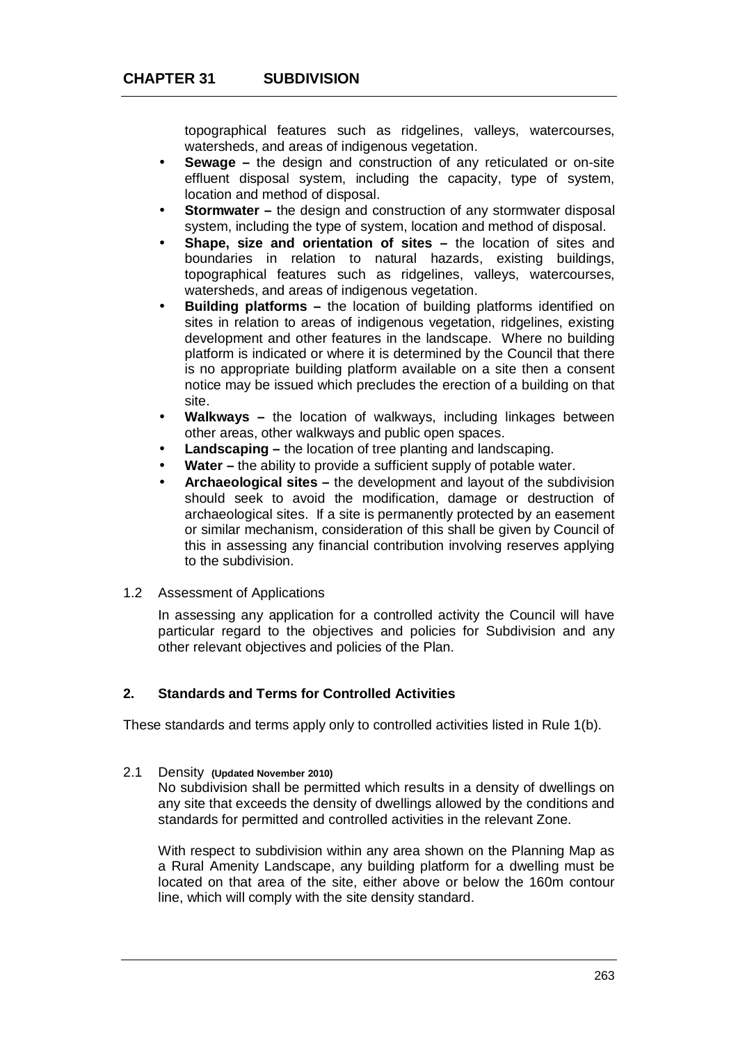topographical features such as ridgelines, valleys, watercourses, watersheds, and areas of indigenous vegetation.

- **Sewage –** the design and construction of any reticulated or on-site effluent disposal system, including the capacity, type of system, location and method of disposal.
- **Stormwater –** the design and construction of any stormwater disposal system, including the type of system, location and method of disposal.
- **Shape, size and orientation of sites –** the location of sites and boundaries in relation to natural hazards, existing buildings, topographical features such as ridgelines, valleys, watercourses, watersheds, and areas of indigenous vegetation.
- **Building platforms –** the location of building platforms identified on sites in relation to areas of indigenous vegetation, ridgelines, existing development and other features in the landscape. Where no building platform is indicated or where it is determined by the Council that there is no appropriate building platform available on a site then a consent notice may be issued which precludes the erection of a building on that site.
- **Walkways –** the location of walkways, including linkages between other areas, other walkways and public open spaces.
- **Landscaping –** the location of tree planting and landscaping.
- **Water –** the ability to provide a sufficient supply of potable water.
- **Archaeological sites –** the development and layout of the subdivision should seek to avoid the modification, damage or destruction of archaeological sites. If a site is permanently protected by an easement or similar mechanism, consideration of this shall be given by Council of this in assessing any financial contribution involving reserves applying to the subdivision.

## 1.2 Assessment of Applications

In assessing any application for a controlled activity the Council will have particular regard to the objectives and policies for Subdivision and any other relevant objectives and policies of the Plan.

## **2. Standards and Terms for Controlled Activities**

These standards and terms apply only to controlled activities listed in Rule 1(b).

2.1 Density **(Updated November 2010)**

No subdivision shall be permitted which results in a density of dwellings on any site that exceeds the density of dwellings allowed by the conditions and standards for permitted and controlled activities in the relevant Zone.

With respect to subdivision within any area shown on the Planning Map as a Rural Amenity Landscape, any building platform for a dwelling must be located on that area of the site, either above or below the 160m contour line, which will comply with the site density standard.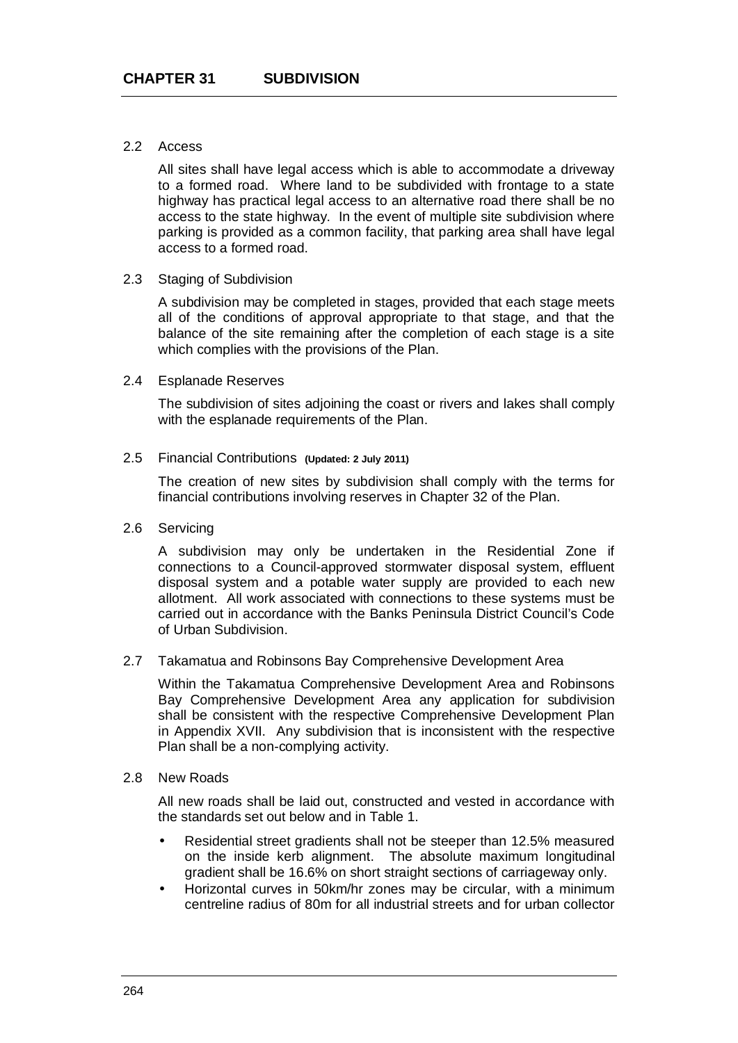## 2.2 Access

All sites shall have legal access which is able to accommodate a driveway to a formed road. Where land to be subdivided with frontage to a state highway has practical legal access to an alternative road there shall be no access to the state highway. In the event of multiple site subdivision where parking is provided as a common facility, that parking area shall have legal access to a formed road.

## 2.3 Staging of Subdivision

A subdivision may be completed in stages, provided that each stage meets all of the conditions of approval appropriate to that stage, and that the balance of the site remaining after the completion of each stage is a site which complies with the provisions of the Plan.

## 2.4 Esplanade Reserves

The subdivision of sites adjoining the coast or rivers and lakes shall comply with the esplanade requirements of the Plan.

## 2.5 Financial Contributions **(Updated: 2 July 2011)**

The creation of new sites by subdivision shall comply with the terms for financial contributions involving reserves in Chapter 32 of the Plan.

## 2.6 Servicing

A subdivision may only be undertaken in the Residential Zone if connections to a Council-approved stormwater disposal system, effluent disposal system and a potable water supply are provided to each new allotment. All work associated with connections to these systems must be carried out in accordance with the Banks Peninsula District Council's Code of Urban Subdivision.

## 2.7 Takamatua and Robinsons Bay Comprehensive Development Area

Within the Takamatua Comprehensive Development Area and Robinsons Bay Comprehensive Development Area any application for subdivision shall be consistent with the respective Comprehensive Development Plan in Appendix XVII. Any subdivision that is inconsistent with the respective Plan shall be a non-complying activity.

#### 2.8 New Roads

All new roads shall be laid out, constructed and vested in accordance with the standards set out below and in Table 1.

- Residential street gradients shall not be steeper than 12.5% measured on the inside kerb alignment. The absolute maximum longitudinal gradient shall be 16.6% on short straight sections of carriageway only.
- Horizontal curves in 50km/hr zones may be circular, with a minimum centreline radius of 80m for all industrial streets and for urban collector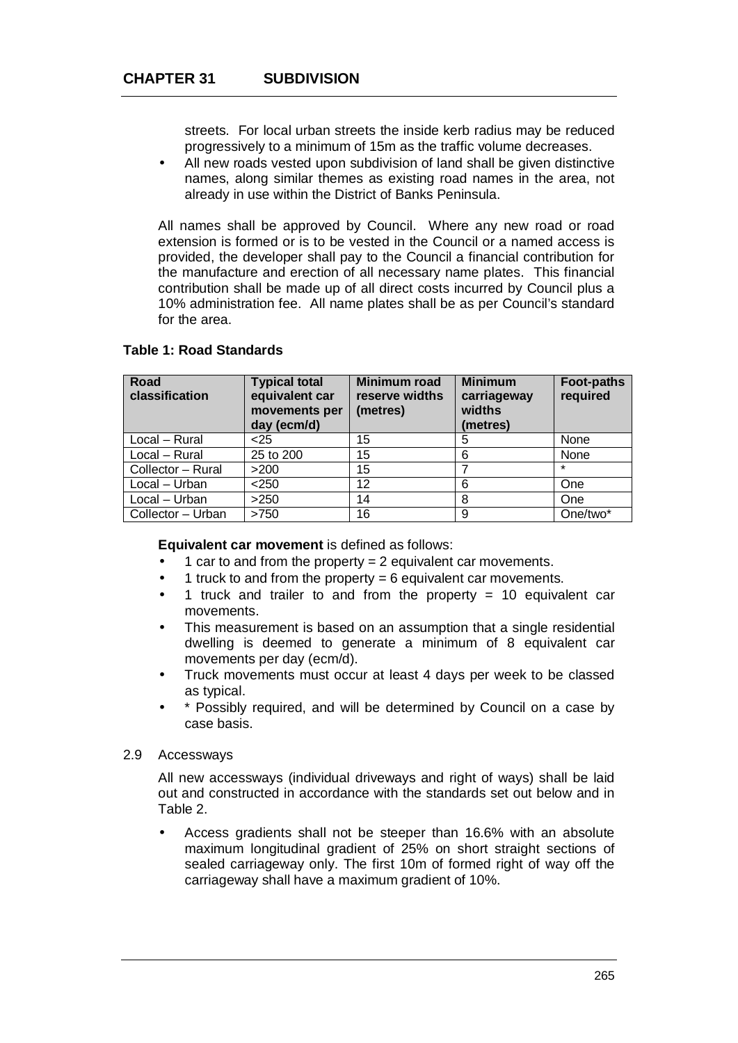streets. For local urban streets the inside kerb radius may be reduced progressively to a minimum of 15m as the traffic volume decreases.

 All new roads vested upon subdivision of land shall be given distinctive names, along similar themes as existing road names in the area, not already in use within the District of Banks Peninsula.

All names shall be approved by Council. Where any new road or road extension is formed or is to be vested in the Council or a named access is provided, the developer shall pay to the Council a financial contribution for the manufacture and erection of all necessary name plates. This financial contribution shall be made up of all direct costs incurred by Council plus a 10% administration fee. All name plates shall be as per Council's standard for the area.

| Road<br>classification | <b>Typical total</b><br>equivalent car<br>movements per<br>day (ecm/d) | <b>Minimum road</b><br>reserve widths<br>(metres) | <b>Minimum</b><br>carriageway<br>widths<br>(metres) | <b>Foot-paths</b><br>required |
|------------------------|------------------------------------------------------------------------|---------------------------------------------------|-----------------------------------------------------|-------------------------------|
| Local - Rural          | $25$                                                                   | 15                                                | 5                                                   | None                          |
| Local - Rural          | 25 to 200                                                              | 15                                                | 6                                                   | None                          |
| Collector - Rural      | >200                                                                   | 15                                                |                                                     | $\star$                       |
| Local - Urban          | < 250                                                                  | 12                                                | 6                                                   | One                           |
| Local - Urban          | >250                                                                   | 14                                                | 8                                                   | <b>One</b>                    |
| Collector - Urban      | >750                                                                   | 16                                                | 9                                                   | One/two*                      |

## **Table 1: Road Standards**

#### **Equivalent car movement** is defined as follows:

- 1 car to and from the property = 2 equivalent car movements.
- 1 truck to and from the property  $= 6$  equivalent car movements.
- 1 truck and trailer to and from the property  $= 10$  equivalent car movements.
- This measurement is based on an assumption that a single residential dwelling is deemed to generate a minimum of 8 equivalent car movements per day (ecm/d).
- Truck movements must occur at least 4 days per week to be classed as typical.
- \* Possibly required, and will be determined by Council on a case by case basis.

#### 2.9 Accessways

All new accessways (individual driveways and right of ways) shall be laid out and constructed in accordance with the standards set out below and in Table 2.

 Access gradients shall not be steeper than 16.6% with an absolute maximum longitudinal gradient of 25% on short straight sections of sealed carriageway only. The first 10m of formed right of way off the carriageway shall have a maximum gradient of 10%.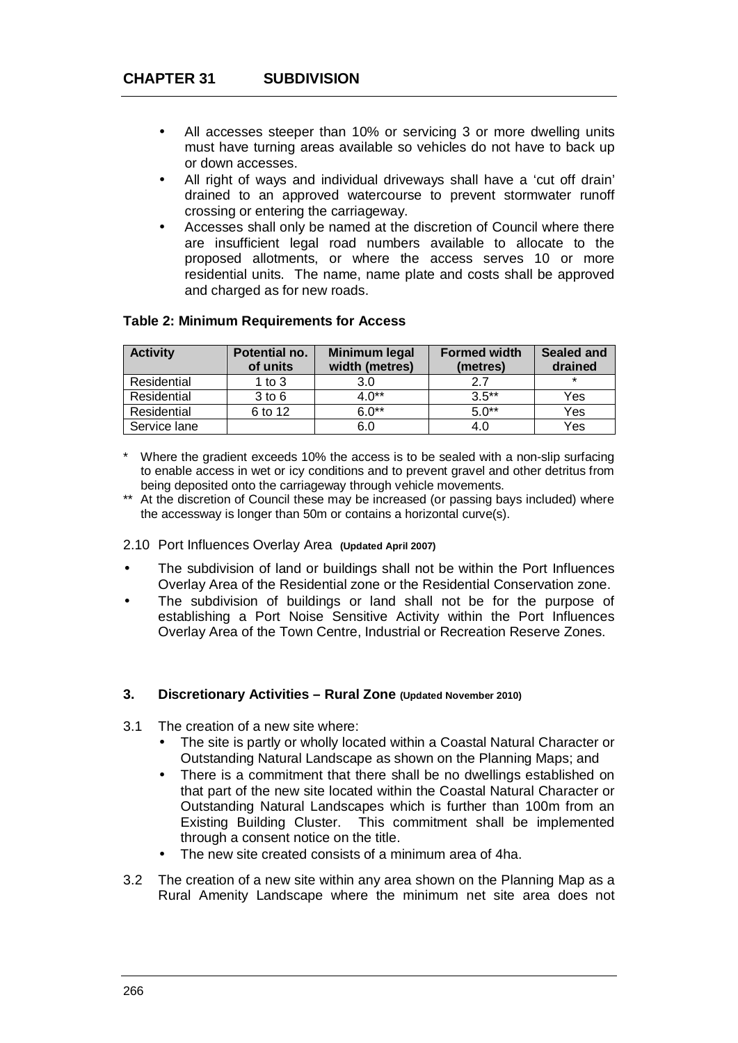- All accesses steeper than 10% or servicing 3 or more dwelling units must have turning areas available so vehicles do not have to back up or down accesses.
- All right of ways and individual driveways shall have a 'cut off drain' drained to an approved watercourse to prevent stormwater runoff crossing or entering the carriageway.
- Accesses shall only be named at the discretion of Council where there are insufficient legal road numbers available to allocate to the proposed allotments, or where the access serves 10 or more residential units. The name, name plate and costs shall be approved and charged as for new roads.

| <b>Activity</b> | Potential no.<br>of units | <b>Minimum legal</b><br>width (metres) | <b>Formed width</b><br>(metres) | <b>Sealed and</b><br>drained |
|-----------------|---------------------------|----------------------------------------|---------------------------------|------------------------------|
| Residential     | 1 to $3$                  | 3.0                                    | 2.7                             | $\star$                      |
| Residential     | $3$ to $6$                | $4.0**$                                | $3.5***$                        | Yes                          |
| Residential     | 6 to 12                   | $6.0**$                                | $5.0**$                         | Yes                          |
| Service lane    |                           | 6.0                                    | 4.0                             | Yes                          |

## **Table 2: Minimum Requirements for Access**

- \* Where the gradient exceeds 10% the access is to be sealed with a non-slip surfacing to enable access in wet or icy conditions and to prevent gravel and other detritus from being deposited onto the carriageway through vehicle movements.
- \*\* At the discretion of Council these may be increased (or passing bays included) where the accessway is longer than 50m or contains a horizontal curve(s).

#### 2.10 Port Influences Overlay Area **(Updated April 2007)**

- The subdivision of land or buildings shall not be within the Port Influences Overlay Area of the Residential zone or the Residential Conservation zone.
- The subdivision of buildings or land shall not be for the purpose of establishing a Port Noise Sensitive Activity within the Port Influences Overlay Area of the Town Centre, Industrial or Recreation Reserve Zones.

#### **3. Discretionary Activities – Rural Zone (Updated November 2010)**

- 3.1 The creation of a new site where:
	- The site is partly or wholly located within a Coastal Natural Character or Outstanding Natural Landscape as shown on the Planning Maps; and
	- There is a commitment that there shall be no dwellings established on that part of the new site located within the Coastal Natural Character or Outstanding Natural Landscapes which is further than 100m from an Existing Building Cluster. This commitment shall be implemented through a consent notice on the title.
	- The new site created consists of a minimum area of 4ha.
- 3.2 The creation of a new site within any area shown on the Planning Map as a Rural Amenity Landscape where the minimum net site area does not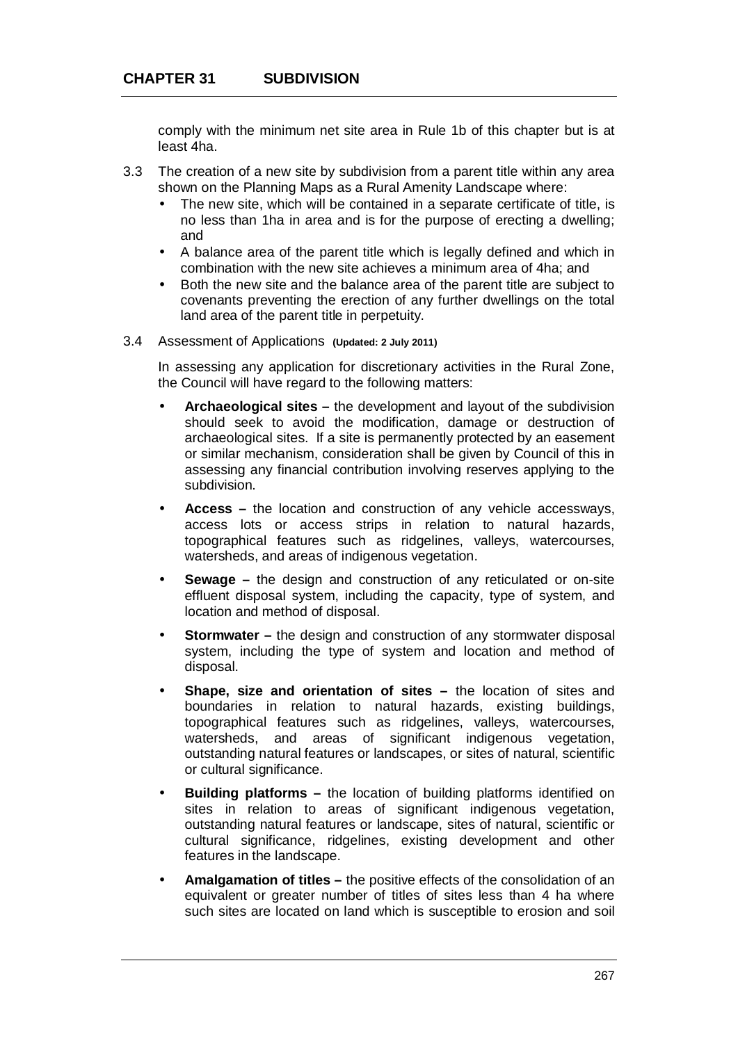comply with the minimum net site area in Rule 1b of this chapter but is at least 4ha.

- 3.3 The creation of a new site by subdivision from a parent title within any area shown on the Planning Maps as a Rural Amenity Landscape where:
	- The new site, which will be contained in a separate certificate of title, is no less than 1ha in area and is for the purpose of erecting a dwelling; and
	- A balance area of the parent title which is legally defined and which in combination with the new site achieves a minimum area of 4ha; and
	- Both the new site and the balance area of the parent title are subject to covenants preventing the erection of any further dwellings on the total land area of the parent title in perpetuity.
- 3.4 Assessment of Applications **(Updated: 2 July 2011)**

In assessing any application for discretionary activities in the Rural Zone, the Council will have regard to the following matters:

- **Archaeological sites –** the development and layout of the subdivision should seek to avoid the modification, damage or destruction of archaeological sites. If a site is permanently protected by an easement or similar mechanism, consideration shall be given by Council of this in assessing any financial contribution involving reserves applying to the subdivision.
- **Access –** the location and construction of any vehicle accessways, access lots or access strips in relation to natural hazards, topographical features such as ridgelines, valleys, watercourses, watersheds, and areas of indigenous vegetation.
- **Sewage –** the design and construction of any reticulated or on-site effluent disposal system, including the capacity, type of system, and location and method of disposal.
- **Stormwater –** the design and construction of any stormwater disposal system, including the type of system and location and method of disposal.
- **Shape, size and orientation of sites –** the location of sites and boundaries in relation to natural hazards, existing buildings, topographical features such as ridgelines, valleys, watercourses, watersheds, and areas of significant indigenous vegetation, outstanding natural features or landscapes, or sites of natural, scientific or cultural significance.
- **Building platforms –** the location of building platforms identified on sites in relation to areas of significant indigenous vegetation, outstanding natural features or landscape, sites of natural, scientific or cultural significance, ridgelines, existing development and other features in the landscape.
- **Amalgamation of titles –** the positive effects of the consolidation of an equivalent or greater number of titles of sites less than 4 ha where such sites are located on land which is susceptible to erosion and soil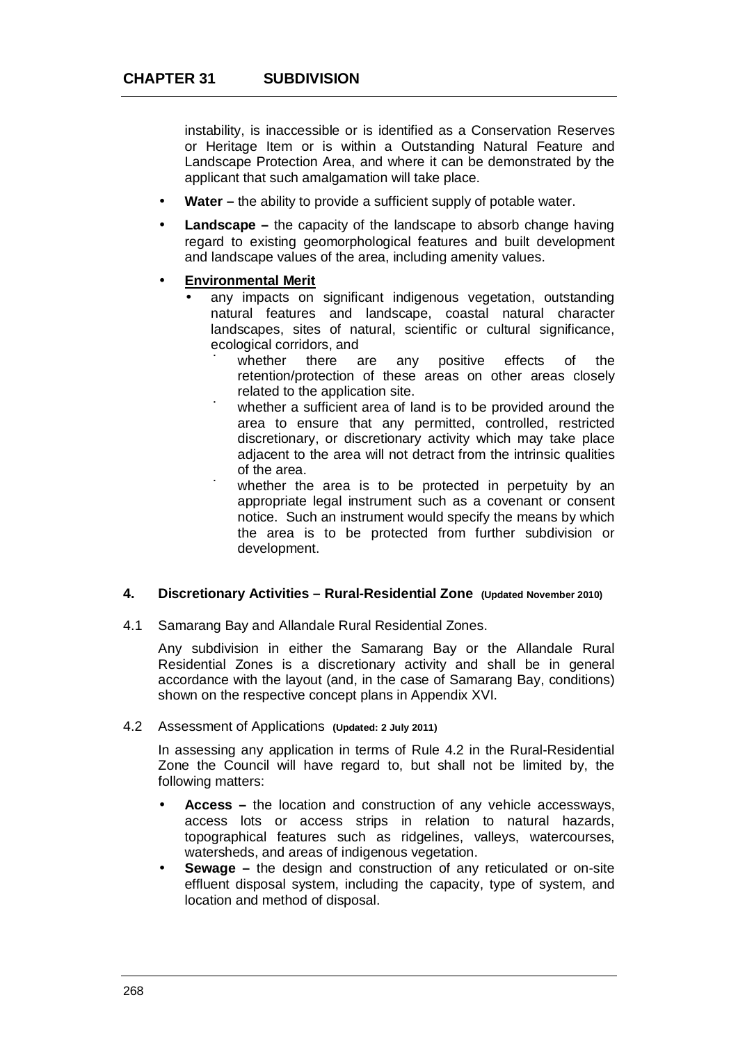instability, is inaccessible or is identified as a Conservation Reserves or Heritage Item or is within a Outstanding Natural Feature and Landscape Protection Area, and where it can be demonstrated by the applicant that such amalgamation will take place.

- **Water –** the ability to provide a sufficient supply of potable water.
- **Landscape –** the capacity of the landscape to absorb change having regard to existing geomorphological features and built development and landscape values of the area, including amenity values.
- **Environmental Merit**
	- any impacts on significant indigenous vegetation, outstanding natural features and landscape, coastal natural character landscapes, sites of natural, scientific or cultural significance, ecological corridors, and
		- ú whether there are any positive effects of the retention/protection of these areas on other areas closely related to the application site.
		- ú whether a sufficient area of land is to be provided around the area to ensure that any permitted, controlled, restricted discretionary, or discretionary activity which may take place adjacent to the area will not detract from the intrinsic qualities of the area.
		- ú whether the area is to be protected in perpetuity by an appropriate legal instrument such as a covenant or consent notice. Such an instrument would specify the means by which the area is to be protected from further subdivision or development.

## **4. Discretionary Activities – Rural-Residential Zone (Updated November 2010)**

4.1 Samarang Bay and Allandale Rural Residential Zones.

Any subdivision in either the Samarang Bay or the Allandale Rural Residential Zones is a discretionary activity and shall be in general accordance with the layout (and, in the case of Samarang Bay, conditions) shown on the respective concept plans in Appendix XVI.

### 4.2 Assessment of Applications **(Updated: 2 July 2011)**

In assessing any application in terms of Rule 4.2 in the Rural-Residential Zone the Council will have regard to, but shall not be limited by, the following matters:

- **Access –** the location and construction of any vehicle accessways, access lots or access strips in relation to natural hazards, topographical features such as ridgelines, valleys, watercourses, watersheds, and areas of indigenous vegetation.
- **Sewage –** the design and construction of any reticulated or on-site effluent disposal system, including the capacity, type of system, and location and method of disposal.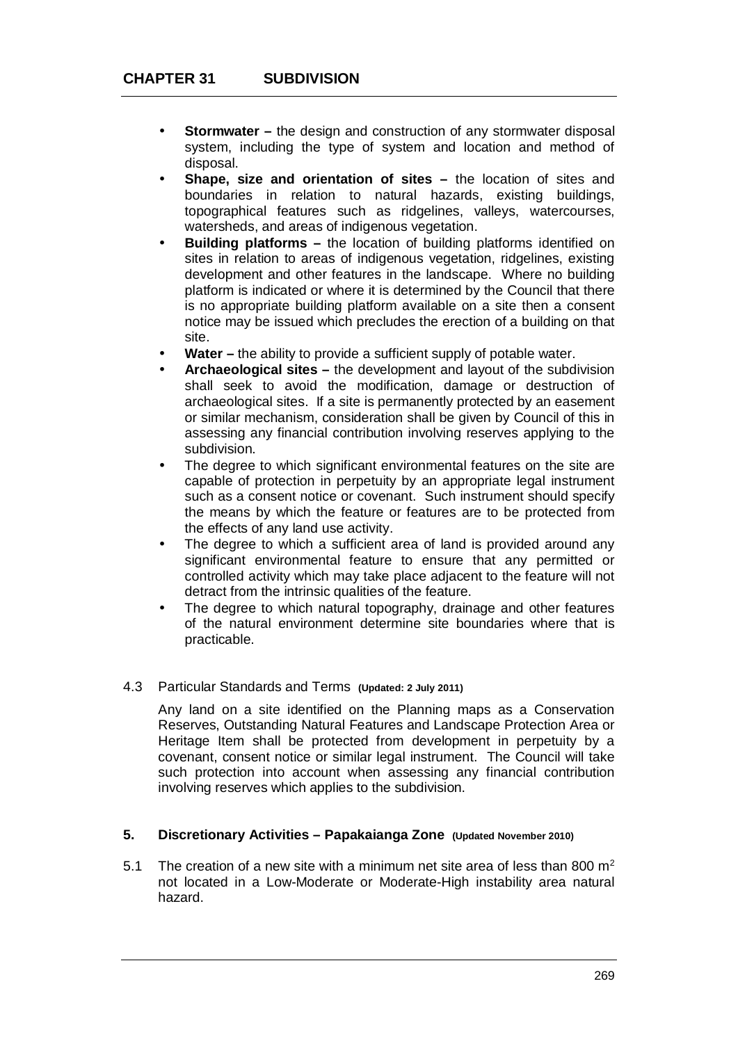- **Stormwater –** the design and construction of any stormwater disposal system, including the type of system and location and method of disposal.
- **Shape, size and orientation of sites –** the location of sites and boundaries in relation to natural hazards, existing buildings, topographical features such as ridgelines, valleys, watercourses, watersheds, and areas of indigenous vegetation.
- **Building platforms –** the location of building platforms identified on sites in relation to areas of indigenous vegetation, ridgelines, existing development and other features in the landscape. Where no building platform is indicated or where it is determined by the Council that there is no appropriate building platform available on a site then a consent notice may be issued which precludes the erection of a building on that site.
- **Water –** the ability to provide a sufficient supply of potable water.
- **Archaeological sites –** the development and layout of the subdivision shall seek to avoid the modification, damage or destruction of archaeological sites. If a site is permanently protected by an easement or similar mechanism, consideration shall be given by Council of this in assessing any financial contribution involving reserves applying to the subdivision.
- The degree to which significant environmental features on the site are capable of protection in perpetuity by an appropriate legal instrument such as a consent notice or covenant. Such instrument should specify the means by which the feature or features are to be protected from the effects of any land use activity.
- The degree to which a sufficient area of land is provided around any significant environmental feature to ensure that any permitted or controlled activity which may take place adjacent to the feature will not detract from the intrinsic qualities of the feature.
- The degree to which natural topography, drainage and other features of the natural environment determine site boundaries where that is practicable.

## 4.3 Particular Standards and Terms **(Updated: 2 July 2011)**

Any land on a site identified on the Planning maps as a Conservation Reserves, Outstanding Natural Features and Landscape Protection Area or Heritage Item shall be protected from development in perpetuity by a covenant, consent notice or similar legal instrument. The Council will take such protection into account when assessing any financial contribution involving reserves which applies to the subdivision.

#### **5. Discretionary Activities – Papakaianga Zone (Updated November 2010)**

5.1 The creation of a new site with a minimum net site area of less than 800  $m^2$ not located in a Low-Moderate or Moderate-High instability area natural hazard.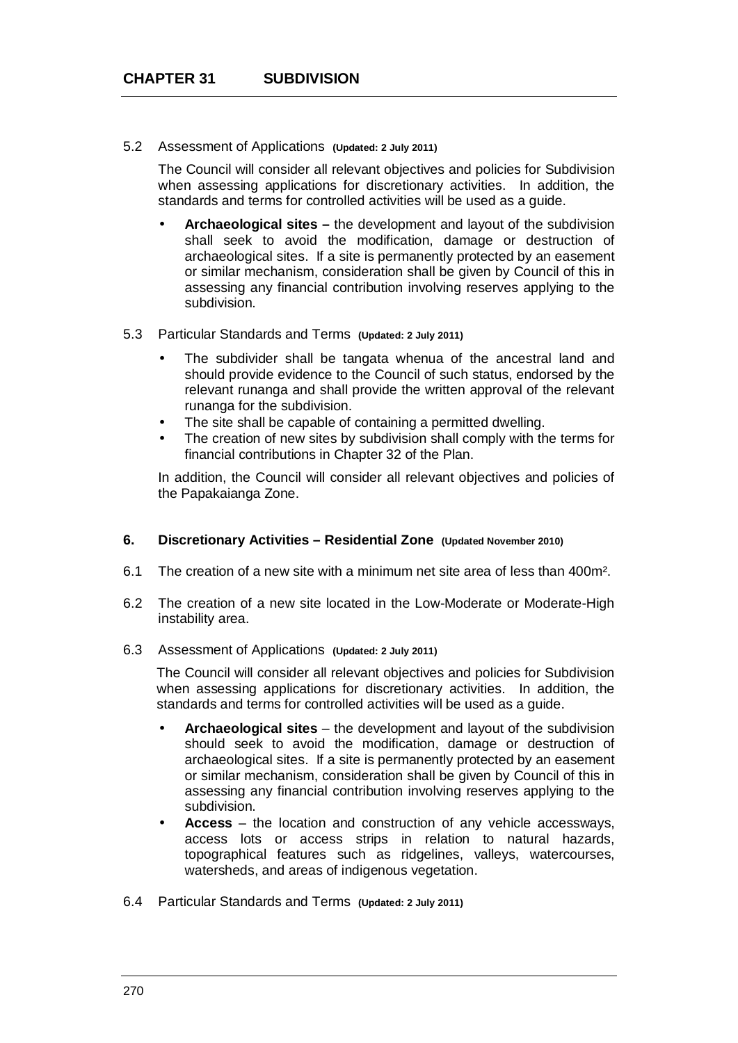#### 5.2 Assessment of Applications **(Updated: 2 July 2011)**

The Council will consider all relevant objectives and policies for Subdivision when assessing applications for discretionary activities. In addition, the standards and terms for controlled activities will be used as a guide.

**Archaeological sites –** the development and layout of the subdivision shall seek to avoid the modification, damage or destruction of archaeological sites. If a site is permanently protected by an easement or similar mechanism, consideration shall be given by Council of this in assessing any financial contribution involving reserves applying to the subdivision.

#### 5.3 Particular Standards and Terms **(Updated: 2 July 2011)**

- The subdivider shall be tangata whenua of the ancestral land and should provide evidence to the Council of such status, endorsed by the relevant runanga and shall provide the written approval of the relevant runanga for the subdivision.
- The site shall be capable of containing a permitted dwelling.
- The creation of new sites by subdivision shall comply with the terms for financial contributions in Chapter 32 of the Plan.

In addition, the Council will consider all relevant objectives and policies of the Papakaianga Zone.

#### **6. Discretionary Activities – Residential Zone (Updated November 2010)**

- 6.1 The creation of a new site with a minimum net site area of less than 400m².
- 6.2 The creation of a new site located in the Low-Moderate or Moderate-High instability area.
- 6.3 Assessment of Applications **(Updated: 2 July 2011)**

The Council will consider all relevant objectives and policies for Subdivision when assessing applications for discretionary activities. In addition, the standards and terms for controlled activities will be used as a guide.

- **Archaeological sites** the development and layout of the subdivision should seek to avoid the modification, damage or destruction of archaeological sites. If a site is permanently protected by an easement or similar mechanism, consideration shall be given by Council of this in assessing any financial contribution involving reserves applying to the subdivision.
- **Access** the location and construction of any vehicle accessways, access lots or access strips in relation to natural hazards, topographical features such as ridgelines, valleys, watercourses, watersheds, and areas of indigenous vegetation.
- 6.4 Particular Standards and Terms **(Updated: 2 July 2011)**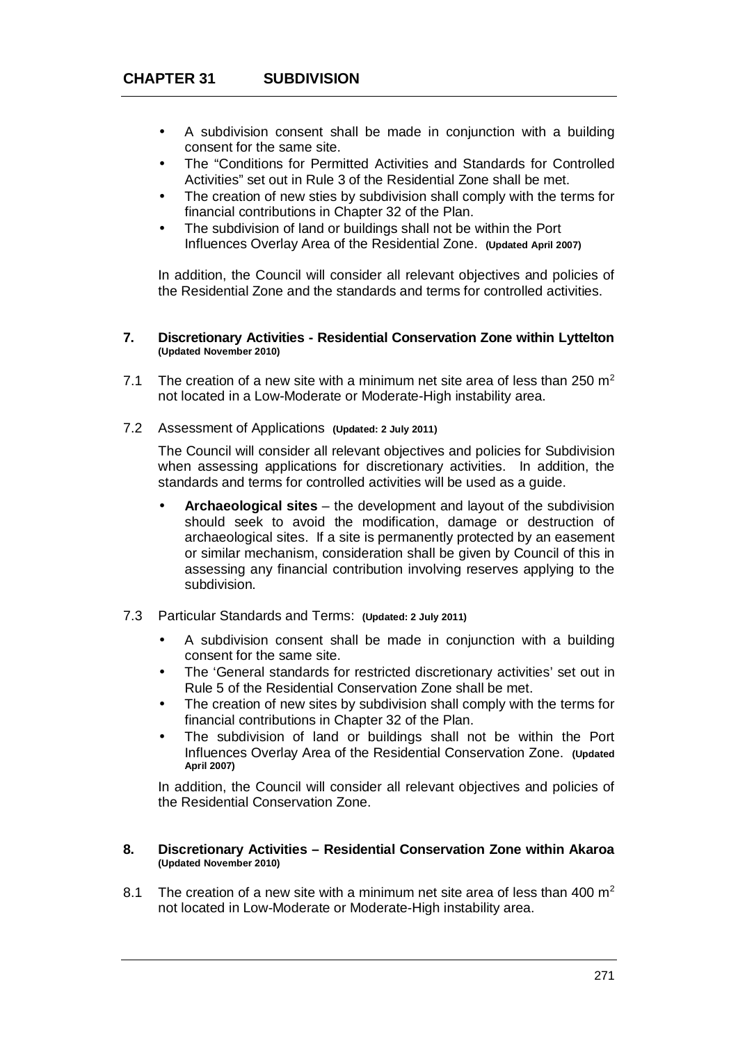- A subdivision consent shall be made in conjunction with a building consent for the same site.
- The "Conditions for Permitted Activities and Standards for Controlled Activities" set out in Rule 3 of the Residential Zone shall be met.
- The creation of new sties by subdivision shall comply with the terms for financial contributions in Chapter 32 of the Plan.
- The subdivision of land or buildings shall not be within the Port Influences Overlay Area of the Residential Zone. **(Updated April 2007)**

In addition, the Council will consider all relevant objectives and policies of the Residential Zone and the standards and terms for controlled activities.

#### **7. Discretionary Activities - Residential Conservation Zone within Lyttelton (Updated November 2010)**

- 7.1 The creation of a new site with a minimum net site area of less than 250  $m<sup>2</sup>$ not located in a Low-Moderate or Moderate-High instability area.
- 7.2 Assessment of Applications **(Updated: 2 July 2011)**

The Council will consider all relevant objectives and policies for Subdivision when assessing applications for discretionary activities. In addition, the standards and terms for controlled activities will be used as a guide.

- **Archaeological sites** the development and layout of the subdivision should seek to avoid the modification, damage or destruction of archaeological sites. If a site is permanently protected by an easement or similar mechanism, consideration shall be given by Council of this in assessing any financial contribution involving reserves applying to the subdivision.
- 7.3 Particular Standards and Terms: **(Updated: 2 July 2011)**
	- A subdivision consent shall be made in conjunction with a building consent for the same site.
	- The 'General standards for restricted discretionary activities' set out in Rule 5 of the Residential Conservation Zone shall be met.
	- The creation of new sites by subdivision shall comply with the terms for financial contributions in Chapter 32 of the Plan.
	- The subdivision of land or buildings shall not be within the Port Influences Overlay Area of the Residential Conservation Zone. **(Updated April 2007)**

In addition, the Council will consider all relevant objectives and policies of the Residential Conservation Zone.

#### **8. Discretionary Activities – Residential Conservation Zone within Akaroa (Updated November 2010)**

8.1 The creation of a new site with a minimum net site area of less than 400  $m^2$ not located in Low-Moderate or Moderate-High instability area.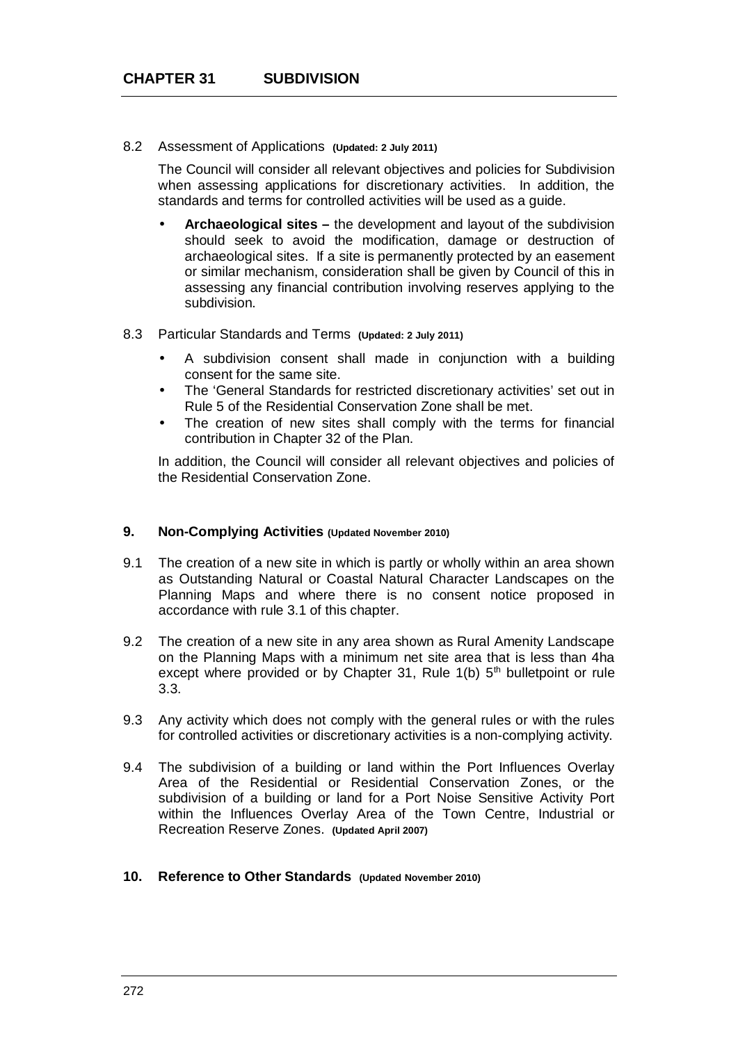#### 8.2 Assessment of Applications **(Updated: 2 July 2011)**

The Council will consider all relevant objectives and policies for Subdivision when assessing applications for discretionary activities. In addition, the standards and terms for controlled activities will be used as a guide.

**Archaeological sites –** the development and layout of the subdivision should seek to avoid the modification, damage or destruction of archaeological sites. If a site is permanently protected by an easement or similar mechanism, consideration shall be given by Council of this in assessing any financial contribution involving reserves applying to the subdivision.

#### 8.3 Particular Standards and Terms **(Updated: 2 July 2011)**

- A subdivision consent shall made in conjunction with a building consent for the same site.
- The 'General Standards for restricted discretionary activities' set out in Rule 5 of the Residential Conservation Zone shall be met.
- The creation of new sites shall comply with the terms for financial contribution in Chapter 32 of the Plan.

In addition, the Council will consider all relevant objectives and policies of the Residential Conservation Zone.

#### **9. Non-Complying Activities (Updated November 2010)**

- 9.1 The creation of a new site in which is partly or wholly within an area shown as Outstanding Natural or Coastal Natural Character Landscapes on the Planning Maps and where there is no consent notice proposed in accordance with rule 3.1 of this chapter.
- 9.2 The creation of a new site in any area shown as Rural Amenity Landscape on the Planning Maps with a minimum net site area that is less than 4ha except where provided or by Chapter 31, Rule  $1(b)$  5<sup>th</sup> bulletpoint or rule 3.3.
- 9.3 Any activity which does not comply with the general rules or with the rules for controlled activities or discretionary activities is a non-complying activity.
- 9.4 The subdivision of a building or land within the Port Influences Overlay Area of the Residential or Residential Conservation Zones, or the subdivision of a building or land for a Port Noise Sensitive Activity Port within the Influences Overlay Area of the Town Centre, Industrial or Recreation Reserve Zones. **(Updated April 2007)**
- **10. Reference to Other Standards (Updated November 2010)**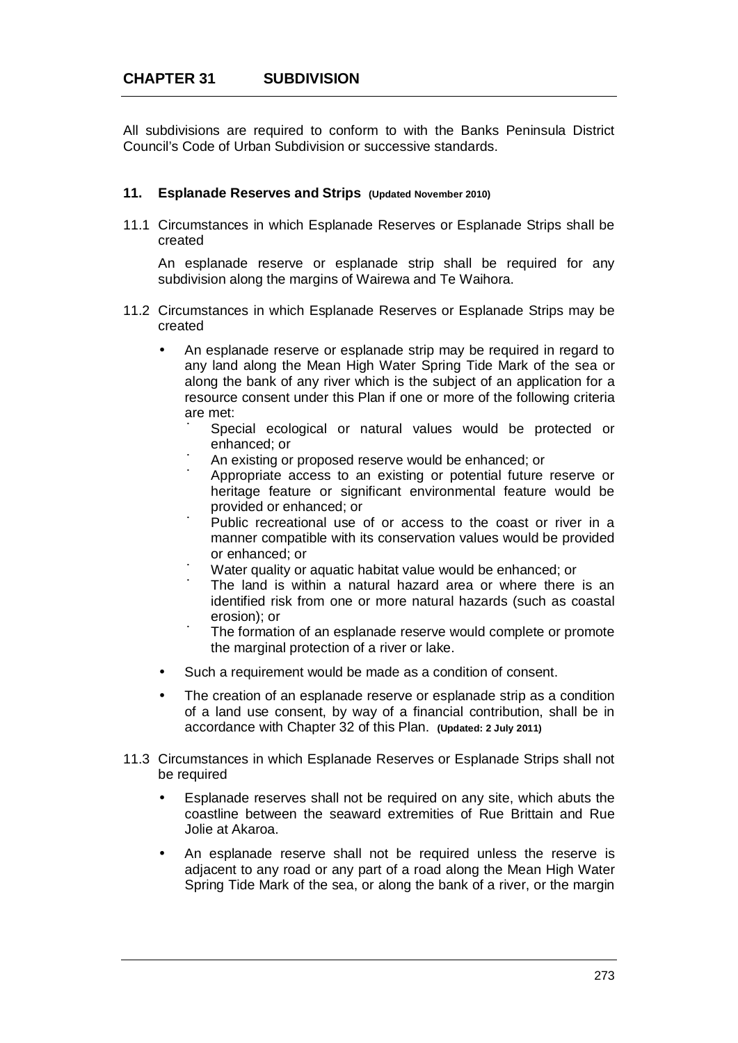All subdivisions are required to conform to with the Banks Peninsula District Council's Code of Urban Subdivision or successive standards.

### **11. Esplanade Reserves and Strips (Updated November 2010)**

11.1 Circumstances in which Esplanade Reserves or Esplanade Strips shall be created

An esplanade reserve or esplanade strip shall be required for any subdivision along the margins of Wairewa and Te Waihora.

- 11.2 Circumstances in which Esplanade Reserves or Esplanade Strips may be created
	- An esplanade reserve or esplanade strip may be required in regard to any land along the Mean High Water Spring Tide Mark of the sea or along the bank of any river which is the subject of an application for a resource consent under this Plan if one or more of the following criteria are met:
		- ú Special ecological or natural values would be protected or enhanced; or
		- ú An existing or proposed reserve would be enhanced; or
		- ú Appropriate access to an existing or potential future reserve or heritage feature or significant environmental feature would be provided or enhanced; or
		- ú Public recreational use of or access to the coast or river in a manner compatible with its conservation values would be provided or enhanced; or
		- ú Water quality or aquatic habitat value would be enhanced; or
		- ú The land is within a natural hazard area or where there is an identified risk from one or more natural hazards (such as coastal erosion); or
		- ú The formation of an esplanade reserve would complete or promote the marginal protection of a river or lake.
	- Such a requirement would be made as a condition of consent.
	- The creation of an esplanade reserve or esplanade strip as a condition of a land use consent, by way of a financial contribution, shall be in accordance with Chapter 32 of this Plan. **(Updated: 2 July 2011)**
- 11.3 Circumstances in which Esplanade Reserves or Esplanade Strips shall not be required
	- Esplanade reserves shall not be required on any site, which abuts the coastline between the seaward extremities of Rue Brittain and Rue Jolie at Akaroa.
	- An esplanade reserve shall not be required unless the reserve is adjacent to any road or any part of a road along the Mean High Water Spring Tide Mark of the sea, or along the bank of a river, or the margin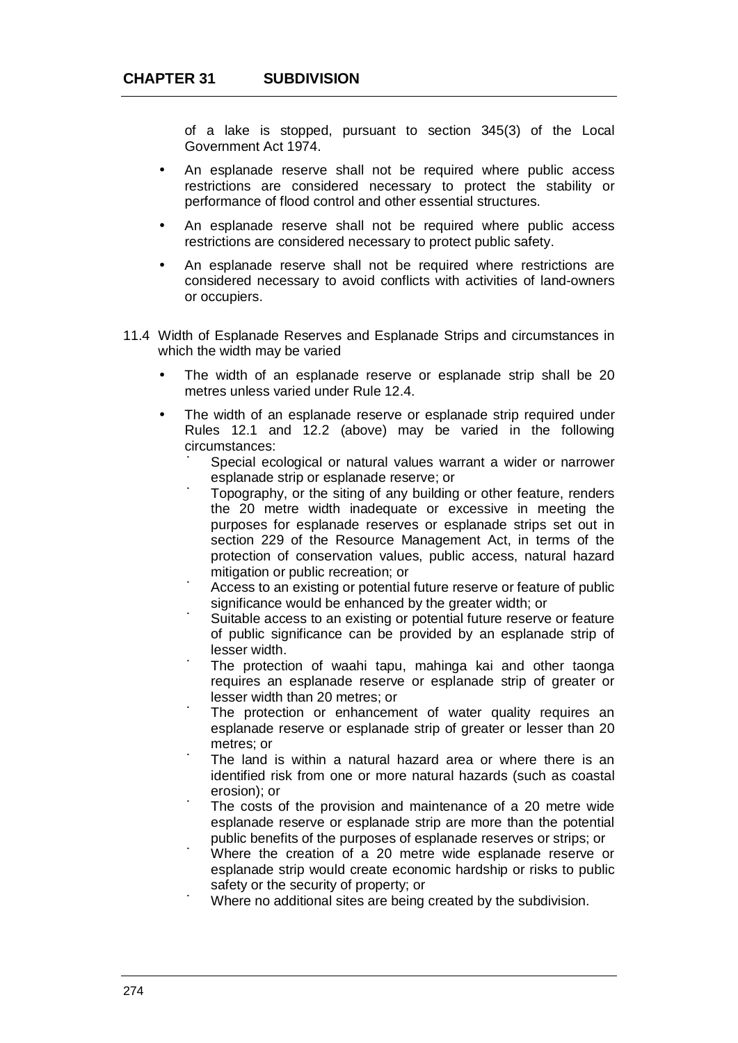of a lake is stopped, pursuant to section 345(3) of the Local Government Act 1974.

- An esplanade reserve shall not be required where public access restrictions are considered necessary to protect the stability or performance of flood control and other essential structures.
- An esplanade reserve shall not be required where public access restrictions are considered necessary to protect public safety.
- An esplanade reserve shall not be required where restrictions are considered necessary to avoid conflicts with activities of land-owners or occupiers.
- 11.4 Width of Esplanade Reserves and Esplanade Strips and circumstances in which the width may be varied
	- The width of an esplanade reserve or esplanade strip shall be 20 metres unless varied under Rule 12.4.
	- The width of an esplanade reserve or esplanade strip required under Rules 12.1 and 12.2 (above) may be varied in the following circumstances:
		- ú Special ecological or natural values warrant a wider or narrower esplanade strip or esplanade reserve; or
		- ú Topography, or the siting of any building or other feature, renders the 20 metre width inadequate or excessive in meeting the purposes for esplanade reserves or esplanade strips set out in section 229 of the Resource Management Act, in terms of the protection of conservation values, public access, natural hazard mitigation or public recreation; or
		- ú Access to an existing or potential future reserve or feature of public significance would be enhanced by the greater width; or
		- ú Suitable access to an existing or potential future reserve or feature of public significance can be provided by an esplanade strip of lesser width.
		- ú The protection of waahi tapu, mahinga kai and other taonga requires an esplanade reserve or esplanade strip of greater or lesser width than 20 metres; or
		- ú The protection or enhancement of water quality requires an esplanade reserve or esplanade strip of greater or lesser than 20 metres; or
		- ú The land is within a natural hazard area or where there is an identified risk from one or more natural hazards (such as coastal erosion); or
		- ú The costs of the provision and maintenance of a 20 metre wide esplanade reserve or esplanade strip are more than the potential public benefits of the purposes of esplanade reserves or strips; or
		- ú Where the creation of a 20 metre wide esplanade reserve or esplanade strip would create economic hardship or risks to public safety or the security of property; or
		- ú Where no additional sites are being created by the subdivision.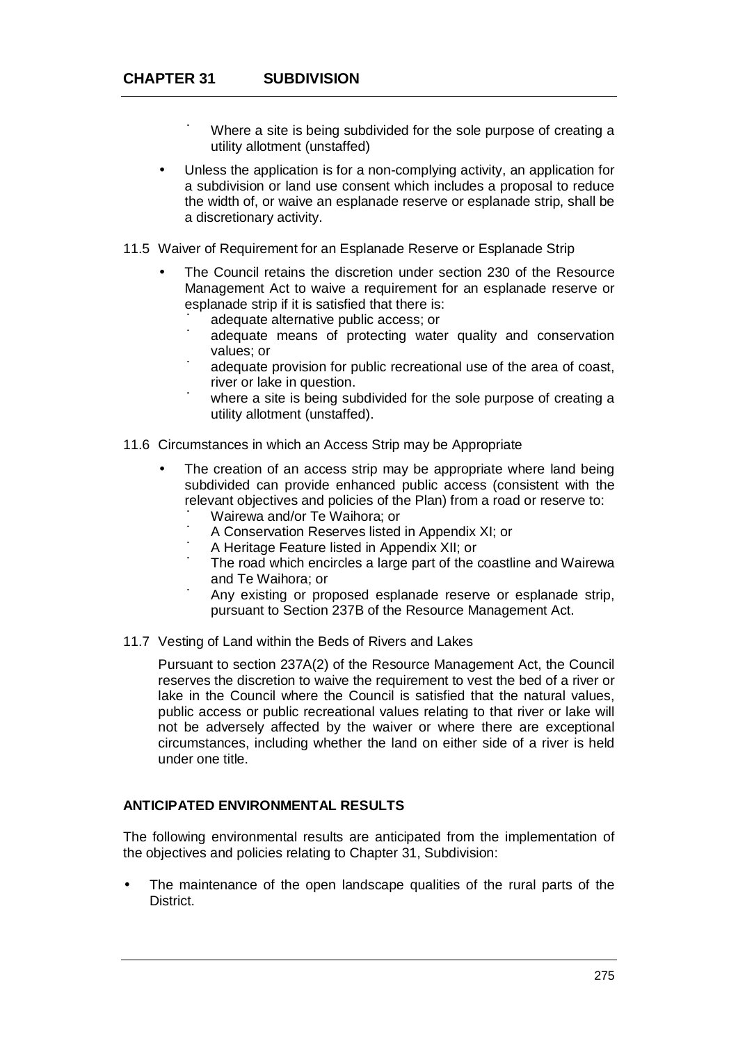- ú Where a site is being subdivided for the sole purpose of creating a utility allotment (unstaffed)
- Unless the application is for a non-complying activity, an application for a subdivision or land use consent which includes a proposal to reduce the width of, or waive an esplanade reserve or esplanade strip, shall be a discretionary activity.
- 11.5 Waiver of Requirement for an Esplanade Reserve or Esplanade Strip
	- The Council retains the discretion under section 230 of the Resource Management Act to waive a requirement for an esplanade reserve or esplanade strip if it is satisfied that there is:
		- ú adequate alternative public access; or
		- ú adequate means of protecting water quality and conservation values; or
		- ú adequate provision for public recreational use of the area of coast, river or lake in question.
		- ú where a site is being subdivided for the sole purpose of creating a utility allotment (unstaffed).
- 11.6 Circumstances in which an Access Strip may be Appropriate
	- The creation of an access strip may be appropriate where land being subdivided can provide enhanced public access (consistent with the relevant objectives and policies of the Plan) from a road or reserve to:
		- ú Wairewa and/or Te Waihora; or
		- ú A Conservation Reserves listed in Appendix XI; or
		- ú A Heritage Feature listed in Appendix XII; or
		- ú The road which encircles a large part of the coastline and Wairewa and Te Waihora; or
		- ú Any existing or proposed esplanade reserve or esplanade strip, pursuant to Section 237B of the Resource Management Act.
- 11.7 Vesting of Land within the Beds of Rivers and Lakes

Pursuant to section 237A(2) of the Resource Management Act, the Council reserves the discretion to waive the requirement to vest the bed of a river or lake in the Council where the Council is satisfied that the natural values, public access or public recreational values relating to that river or lake will not be adversely affected by the waiver or where there are exceptional circumstances, including whether the land on either side of a river is held under one title.

### **ANTICIPATED ENVIRONMENTAL RESULTS**

The following environmental results are anticipated from the implementation of the objectives and policies relating to Chapter 31, Subdivision:

 The maintenance of the open landscape qualities of the rural parts of the District.